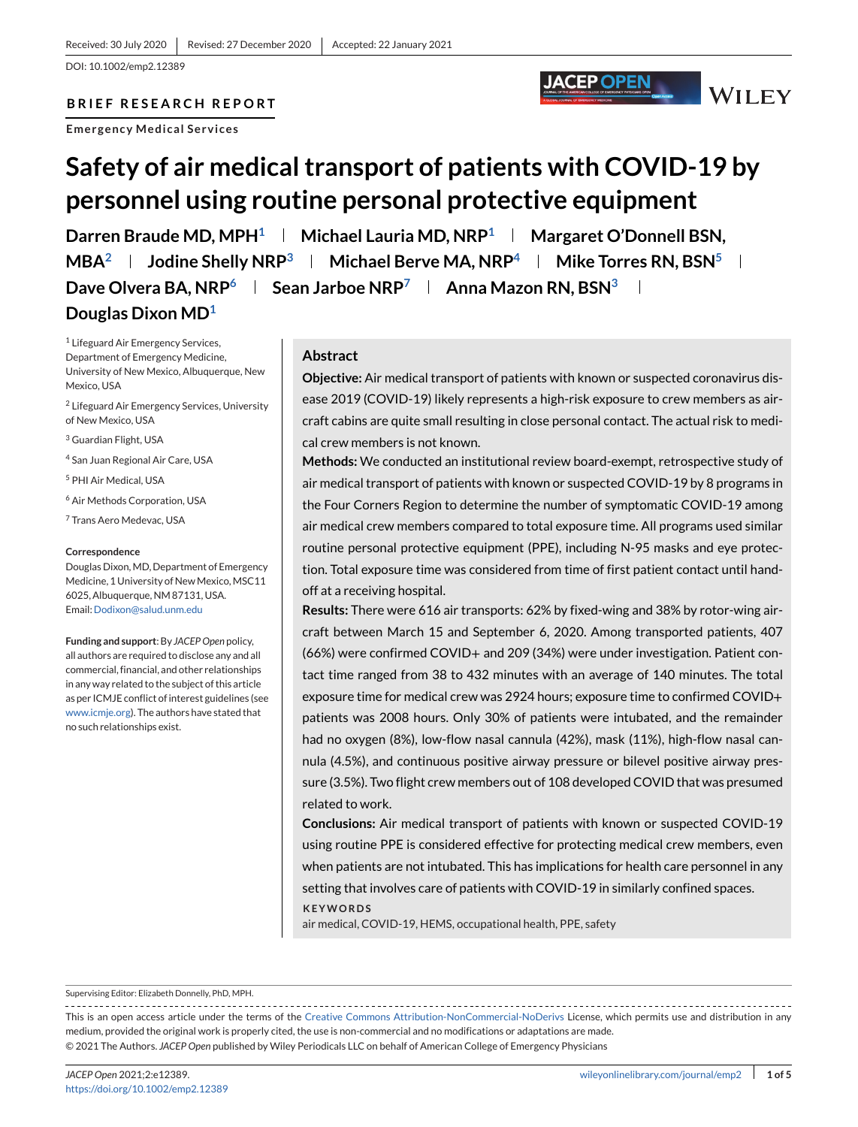DOI: 10.1002/emp2.12389

# **BRIEF RESEARCH REPORT**

**Emergency Medical Services**

# **Safety of air medical transport of patients with COVID-19 by personnel using routine personal protective equipment**

Darren Braude MD, MPH<sup>1</sup> | Michael Lauria MD, NRP<sup>1</sup> | Margaret O'Donnell BSN, **MBA**<sup>2</sup> **Jodine Shelly NRP**<sup>3</sup> **Wichael Berve MA, NRP**<sup>4</sup> **Mike Torres RN, BSN**<sup>5</sup> **L Dave Olvera BA, NRP**<sup>6</sup> **Sean Jarboe NRP**<sup>7</sup> **Anna Mazon RN, BSN**<sup>3</sup> **Douglas Dixon MD1**

<sup>1</sup> Lifeguard Air Emergency Services, Department of Emergency Medicine, University of New Mexico, Albuquerque, New Mexico, USA

<sup>2</sup> Lifeguard Air Emergency Services, University of New Mexico, USA

<sup>3</sup> Guardian Flight, USA

<sup>4</sup> San Juan Regional Air Care, USA

<sup>5</sup> PHI Air Medical, USA

<sup>6</sup> Air Methods Corporation, USA

<sup>7</sup> Trans Aero Medevac, USA

#### **Correspondence**

Douglas Dixon, MD, Department of Emergency Medicine, 1 University of New Mexico, MSC11 6025, Albuquerque, NM 87131, USA. Email[:Dodixon@salud.unm.edu](mailto:Dodixon@salud.unm.edu)

**Funding and support**: By *JACEP Open* policy, all authors are required to disclose any and all commercial, financial, and other relationships in any way related to the subject of this article as per ICMJE conflict of interest guidelines (see [www.icmje.org\)](http://www.icmje.org). The authors have stated that no such relationships exist.

## **Abstract**

**Objective:** Air medical transport of patients with known or suspected coronavirus disease 2019 (COVID-19) likely represents a high-risk exposure to crew members as aircraft cabins are quite small resulting in close personal contact. The actual risk to medical crew members is not known.

JACEP OPEN

WILEY

**Methods:** We conducted an institutional review board-exempt, retrospective study of air medical transport of patients with known or suspected COVID-19 by 8 programs in the Four Corners Region to determine the number of symptomatic COVID-19 among air medical crew members compared to total exposure time. All programs used similar routine personal protective equipment (PPE), including N-95 masks and eye protection. Total exposure time was considered from time of first patient contact until handoff at a receiving hospital.

**Results:** There were 616 air transports: 62% by fixed-wing and 38% by rotor-wing aircraft between March 15 and September 6, 2020. Among transported patients, 407 (66%) were confirmed COVID+ and 209 (34%) were under investigation. Patient contact time ranged from 38 to 432 minutes with an average of 140 minutes. The total exposure time for medical crew was 2924 hours; exposure time to confirmed COVID+ patients was 2008 hours. Only 30% of patients were intubated, and the remainder had no oxygen (8%), low-flow nasal cannula (42%), mask (11%), high-flow nasal cannula (4.5%), and continuous positive airway pressure or bilevel positive airway pressure (3.5%). Two flight crew members out of 108 developed COVID that was presumed related to work.

**Conclusions:** Air medical transport of patients with known or suspected COVID-19 using routine PPE is considered effective for protecting medical crew members, even when patients are not intubated. This has implications for health care personnel in any setting that involves care of patients with COVID-19 in similarly confined spaces.

**KEYWORDS**

air medical, COVID-19, HEMS, occupational health, PPE, safety

Supervising Editor: Elizabeth Donnelly, PhD, MPH.

This is an open access article under the terms of the [Creative Commons Attribution-NonCommercial-NoDerivs](http://creativecommons.org/licenses/by-nc-nd/4.0/) License, which permits use and distribution in any medium, provided the original work is properly cited, the use is non-commercial and no modifications or adaptations are made. © 2021 The Authors. *JACEP Open* published by Wiley Periodicals LLC on behalf of American College of Emergency Physicians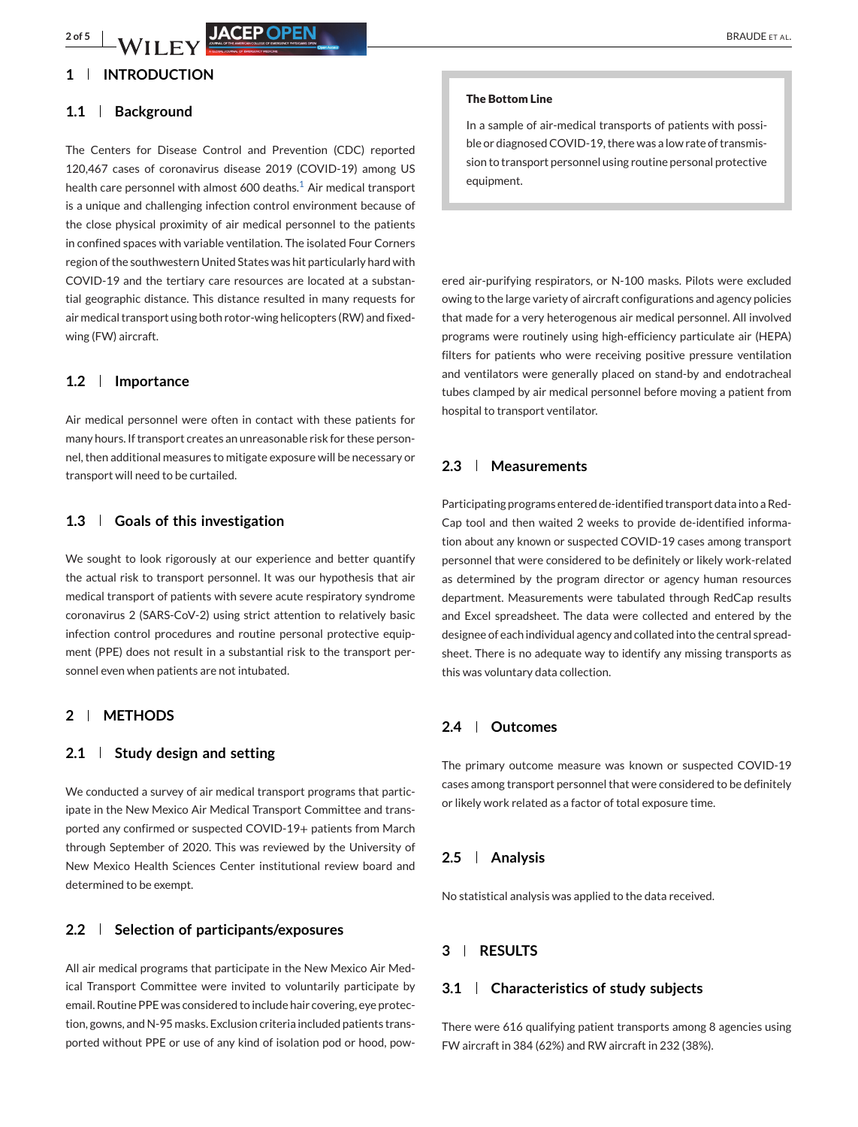# **1 INTRODUCTION**

#### **1.1 Background**

The Centers for Disease Control and Prevention (CDC) reported 120,467 cases of coronavirus disease 2019 (COVID-19) among US health care personnel with almost 600 deaths. $1$  Air medical transport is a unique and challenging infection control environment because of the close physical proximity of air medical personnel to the patients in confined spaces with variable ventilation. The isolated Four Corners region of the southwestern United States was hit particularly hard with COVID-19 and the tertiary care resources are located at a substantial geographic distance. This distance resulted in many requests for air medical transport using both rotor-wing helicopters (RW) and fixedwing (FW) aircraft.

#### **1.2 Importance**

Air medical personnel were often in contact with these patients for many hours. If transport creates an unreasonable risk for these personnel, then additional measures to mitigate exposure will be necessary or transport will need to be curtailed.

## **1.3 Goals of this investigation**

We sought to look rigorously at our experience and better quantify the actual risk to transport personnel. It was our hypothesis that air medical transport of patients with severe acute respiratory syndrome coronavirus 2 (SARS-CoV-2) using strict attention to relatively basic infection control procedures and routine personal protective equipment (PPE) does not result in a substantial risk to the transport personnel even when patients are not intubated.

# **2 METHODS**

#### **2.1 Study design and setting**

We conducted a survey of air medical transport programs that participate in the New Mexico Air Medical Transport Committee and transported any confirmed or suspected COVID-19+ patients from March through September of 2020. This was reviewed by the University of New Mexico Health Sciences Center institutional review board and determined to be exempt.

#### **2.2 Selection of participants/exposures**

All air medical programs that participate in the New Mexico Air Medical Transport Committee were invited to voluntarily participate by email. Routine PPE was considered to include hair covering, eye protection, gowns, and N-95 masks. Exclusion criteria included patients transported without PPE or use of any kind of isolation pod or hood, pow-

#### **The Bottom Line**

In a sample of air-medical transports of patients with possible or diagnosed COVID-19, there was a low rate of transmission to transport personnel using routine personal protective equipment.

ered air-purifying respirators, or N-100 masks. Pilots were excluded owing to the large variety of aircraft configurations and agency policies that made for a very heterogenous air medical personnel. All involved programs were routinely using high-efficiency particulate air (HEPA) filters for patients who were receiving positive pressure ventilation and ventilators were generally placed on stand-by and endotracheal tubes clamped by air medical personnel before moving a patient from hospital to transport ventilator.

## **2.3 Measurements**

Participating programs entered de-identified transport data into a Red-Cap tool and then waited 2 weeks to provide de-identified information about any known or suspected COVID-19 cases among transport personnel that were considered to be definitely or likely work-related as determined by the program director or agency human resources department. Measurements were tabulated through RedCap results and Excel spreadsheet. The data were collected and entered by the designee of each individual agency and collated into the central spreadsheet. There is no adequate way to identify any missing transports as this was voluntary data collection.

## **2.4 Outcomes**

The primary outcome measure was known or suspected COVID-19 cases among transport personnel that were considered to be definitely or likely work related as a factor of total exposure time.

## **2.5 Analysis**

No statistical analysis was applied to the data received.

## **3 RESULTS**

#### **3.1 Characteristics of study subjects**

There were 616 qualifying patient transports among 8 agencies using FW aircraft in 384 (62%) and RW aircraft in 232 (38%).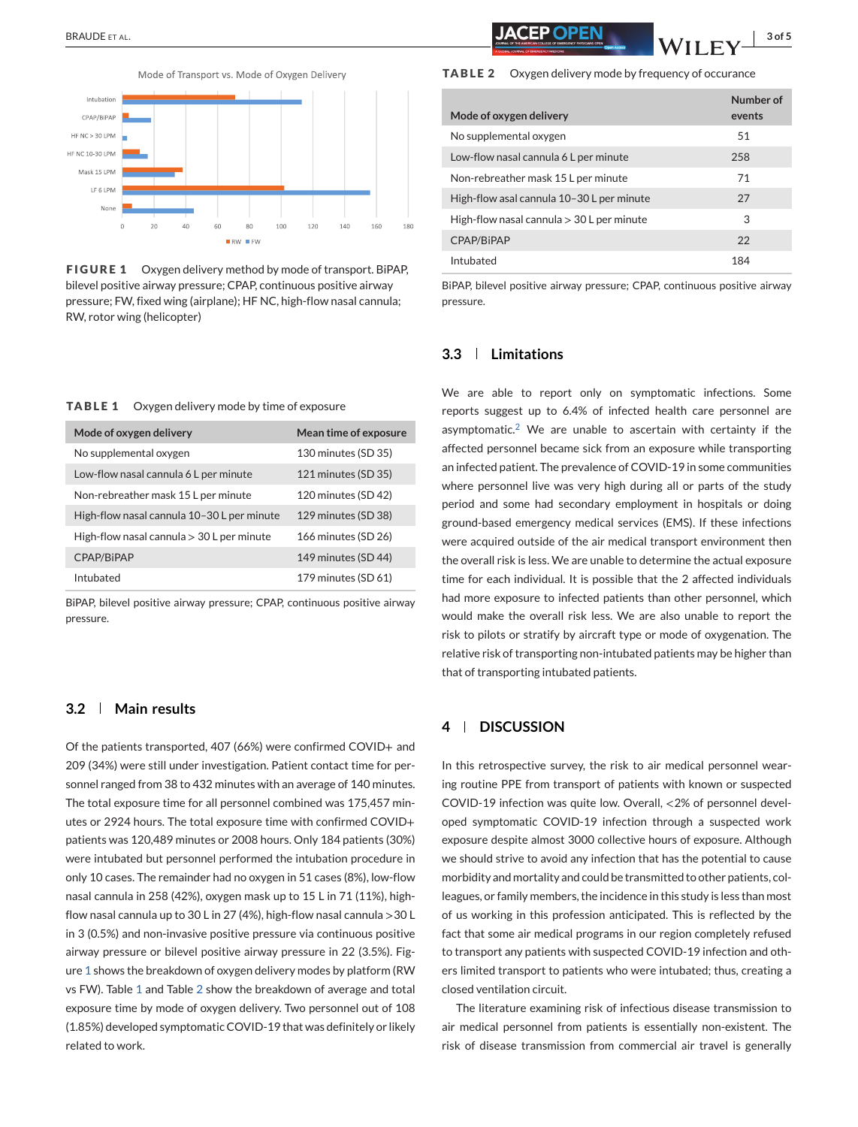Mode of Transport vs. Mode of Oxygen Delivery



**FIGURE 1** Oxygen delivery method by mode of transport. BiPAP, bilevel positive airway pressure; CPAP, continuous positive airway pressure; FW, fixed wing (airplane); HF NC, high-flow nasal cannula; RW, rotor wing (helicopter)



| Mode of oxygen delivery                     | Mean time of exposure |
|---------------------------------------------|-----------------------|
| No supplemental oxygen                      | 130 minutes (SD 35)   |
| Low-flow nasal cannula 6 L per minute       | 121 minutes (SD 35)   |
| Non-rebreather mask 15 L per minute         | 120 minutes (SD 42)   |
| High-flow nasal cannula 10-30 L per minute  | 129 minutes (SD 38)   |
| High-flow nasal cannula $>$ 30 L per minute | 166 minutes (SD 26)   |
| CPAP/BiPAP                                  | 149 minutes (SD 44)   |
| Intubated                                   | 179 minutes (SD 61)   |

BiPAP, bilevel positive airway pressure; CPAP, continuous positive airway pressure.

#### **3.2 Main results**

Of the patients transported, 407 (66%) were confirmed COVID+ and 209 (34%) were still under investigation. Patient contact time for personnel ranged from 38 to 432 minutes with an average of 140 minutes. The total exposure time for all personnel combined was 175,457 minutes or 2924 hours. The total exposure time with confirmed COVID+ patients was 120,489 minutes or 2008 hours. Only 184 patients (30%) were intubated but personnel performed the intubation procedure in only 10 cases. The remainder had no oxygen in 51 cases (8%), low-flow nasal cannula in 258 (42%), oxygen mask up to 15 L in 71 (11%), highflow nasal cannula up to 30 L in 27 (4%), high-flow nasal cannula >30 L in 3 (0.5%) and non-invasive positive pressure via continuous positive airway pressure or bilevel positive airway pressure in 22 (3.5%). Figure 1 shows the breakdown of oxygen delivery modes by platform (RW vs FW). Table 1 and Table 2 show the breakdown of average and total exposure time by mode of oxygen delivery. Two personnel out of 108 (1.85%) developed symptomatic COVID-19 that was definitely or likely related to work.

# BRAUDE ET AL. **3 of 5** and 5 and 5 and 5 and 5 and 5 and 5 and 5 and 5 and 5 and 5 and 5 and 5 and 5 and 5 and 5 and 5 and 5 and 5 and 5 and 5 and 5 and 5 and 5 and 5 and 5 and 5 and 5 and 5 and 5 and 5 and 5 and 5 and 5 a

**TABLE 2** Oxygen delivery mode by frequency of occurance

| Mode of oxygen delivery                     | Number of<br>events |
|---------------------------------------------|---------------------|
| No supplemental oxygen                      | 51                  |
| Low-flow nasal cannula 6 L per minute       | 258                 |
| Non-rebreather mask 15 L per minute         | 71                  |
| High-flow asal cannula 10-30 L per minute   | 27                  |
| High-flow nasal cannula $>$ 30 L per minute | 3                   |
| CPAP/BiPAP                                  | 22                  |
| Intubated                                   | 184                 |

BiPAP, bilevel positive airway pressure; CPAP, continuous positive airway pressure.

# **3.3 Limitations**

We are able to report only on symptomatic infections. Some reports suggest up to 6.4% of infected health care personnel are asymptomatic.<sup>[2](#page-3-0)</sup> We are unable to ascertain with certainty if the affected personnel became sick from an exposure while transporting an infected patient. The prevalence of COVID-19 in some communities where personnel live was very high during all or parts of the study period and some had secondary employment in hospitals or doing ground-based emergency medical services (EMS). If these infections were acquired outside of the air medical transport environment then the overall risk is less. We are unable to determine the actual exposure time for each individual. It is possible that the 2 affected individuals had more exposure to infected patients than other personnel, which would make the overall risk less. We are also unable to report the risk to pilots or stratify by aircraft type or mode of oxygenation. The relative risk of transporting non-intubated patients may be higher than that of transporting intubated patients.

#### **4 DISCUSSION**

In this retrospective survey, the risk to air medical personnel wearing routine PPE from transport of patients with known or suspected COVID-19 infection was quite low. Overall, <2% of personnel developed symptomatic COVID-19 infection through a suspected work exposure despite almost 3000 collective hours of exposure. Although we should strive to avoid any infection that has the potential to cause morbidity and mortality and could be transmitted to other patients, colleagues, or family members, the incidence in this study is less than most of us working in this profession anticipated. This is reflected by the fact that some air medical programs in our region completely refused to transport any patients with suspected COVID-19 infection and others limited transport to patients who were intubated; thus, creating a closed ventilation circuit.

The literature examining risk of infectious disease transmission to air medical personnel from patients is essentially non-existent. The risk of disease transmission from commercial air travel is generally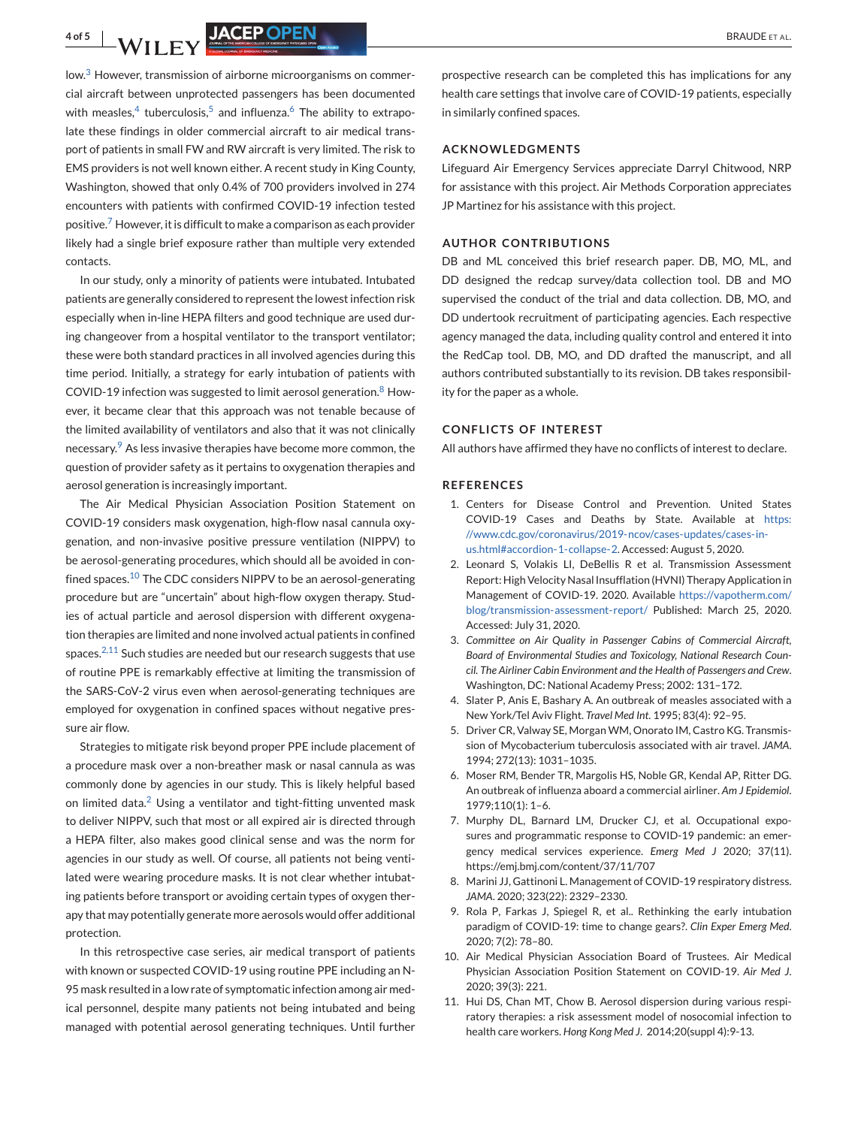<span id="page-3-0"></span>low. $3$  However, transmission of airborne microorganisms on commercial aircraft between unprotected passengers has been documented with measles,<sup>4</sup> tuberculosis,<sup>5</sup> and influenza.<sup>6</sup> The ability to extrapolate these findings in older commercial aircraft to air medical transport of patients in small FW and RW aircraft is very limited. The risk to EMS providers is not well known either. A recent study in King County, Washington, showed that only 0.4% of 700 providers involved in 274 encounters with patients with confirmed COVID-19 infection tested positive.<sup>7</sup> However, it is difficult to make a comparison as each provider likely had a single brief exposure rather than multiple very extended contacts.

In our study, only a minority of patients were intubated. Intubated patients are generally considered to represent the lowest infection risk especially when in-line HEPA filters and good technique are used during changeover from a hospital ventilator to the transport ventilator; these were both standard practices in all involved agencies during this time period. Initially, a strategy for early intubation of patients with COVID-19 infection was suggested to limit aerosol generation.<sup>8</sup> However, it became clear that this approach was not tenable because of the limited availability of ventilators and also that it was not clinically necessary.<sup>9</sup> As less invasive therapies have become more common, the question of provider safety as it pertains to oxygenation therapies and aerosol generation is increasingly important.

The Air Medical Physician Association Position Statement on COVID-19 considers mask oxygenation, high-flow nasal cannula oxygenation, and non-invasive positive pressure ventilation (NIPPV) to be aerosol-generating procedures, which should all be avoided in confined spaces.<sup>10</sup> The CDC considers NIPPV to be an aerosol-generating procedure but are "uncertain" about high-flow oxygen therapy. Studies of actual particle and aerosol dispersion with different oxygenation therapies are limited and none involved actual patients in confined spaces. $2,11$  Such studies are needed but our research suggests that use of routine PPE is remarkably effective at limiting the transmission of the SARS-CoV-2 virus even when aerosol-generating techniques are employed for oxygenation in confined spaces without negative pressure air flow.

Strategies to mitigate risk beyond proper PPE include placement of a procedure mask over a non-breather mask or nasal cannula as was commonly done by agencies in our study. This is likely helpful based on limited data.<sup>2</sup> Using a ventilator and tight-fitting unvented mask to deliver NIPPV, such that most or all expired air is directed through a HEPA filter, also makes good clinical sense and was the norm for agencies in our study as well. Of course, all patients not being ventilated were wearing procedure masks. It is not clear whether intubating patients before transport or avoiding certain types of oxygen therapy that may potentially generate more aerosols would offer additional protection.

In this retrospective case series, air medical transport of patients with known or suspected COVID-19 using routine PPE including an N-95 mask resulted in a low rate of symptomatic infection among air medical personnel, despite many patients not being intubated and being managed with potential aerosol generating techniques. Until further

prospective research can be completed this has implications for any health care settings that involve care of COVID-19 patients, especially in similarly confined spaces.

#### **ACKNOWLEDGMENTS**

Lifeguard Air Emergency Services appreciate Darryl Chitwood, NRP for assistance with this project. Air Methods Corporation appreciates JP Martinez for his assistance with this project.

#### **AUTHOR CONTRIBUTIONS**

DB and ML conceived this brief research paper. DB, MO, ML, and DD designed the redcap survey/data collection tool. DB and MO supervised the conduct of the trial and data collection. DB, MO, and DD undertook recruitment of participating agencies. Each respective agency managed the data, including quality control and entered it into the RedCap tool. DB, MO, and DD drafted the manuscript, and all authors contributed substantially to its revision. DB takes responsibility for the paper as a whole.

#### **CONFLICTS OF INTEREST**

All authors have affirmed they have no conflicts of interest to declare.

#### **REFERENCES**

- 1. Centers for Disease Control and Prevention. United States COVID-19 Cases and Deaths by State. Available at [https:](https://www.cdc.gov/coronavirus/2019-ncov/cases-updates/cases-in-us.html#accordion-1-collapse-2) [//www.cdc.gov/coronavirus/2019-ncov/cases-updates/cases-in](https://www.cdc.gov/coronavirus/2019-ncov/cases-updates/cases-in-us.html#accordion-1-collapse-2)[us.html#accordion-1-collapse-2.](https://www.cdc.gov/coronavirus/2019-ncov/cases-updates/cases-in-us.html#accordion-1-collapse-2) Accessed: August 5, 2020.
- 2. Leonard S, Volakis LI, DeBellis R et al. Transmission Assessment Report: High Velocity Nasal Insufflation (HVNI) Therapy Application in Management of COVID-19. 2020. Available [https://vapotherm.com/](https://vapotherm.com/blog/transmission-assessment-report/) [blog/transmission-assessment-report/](https://vapotherm.com/blog/transmission-assessment-report/) Published: March 25, 2020. Accessed: July 31, 2020.
- 3. *Committee on Air Quality in Passenger Cabins of Commercial Aircraft, Board of Environmental Studies and Toxicology, National Research Council. The Airliner Cabin Environment and the Health of Passengers and Crew*. Washington, DC: National Academy Press; 2002: 131–172.
- 4. Slater P, Anis E, Bashary A. An outbreak of measles associated with a New York/Tel Aviv Flight. *Travel Med Int*. 1995; 83(4): 92–95.
- 5. Driver CR, Valway SE, Morgan WM, Onorato IM, Castro KG. Transmission of Mycobacterium tuberculosis associated with air travel. *JAMA*. 1994; 272(13): 1031–1035.
- 6. Moser RM, Bender TR, Margolis HS, Noble GR, Kendal AP, Ritter DG. An outbreak of influenza aboard a commercial airliner. *Am J Epidemiol*. 1979;110(1): 1–6.
- 7. Murphy DL, Barnard LM, Drucker CJ, et al. Occupational exposures and programmatic response to COVID-19 pandemic: an emergency medical services experience. *Emerg Med J* 2020; 37(11). https://emj.bmj.com/content/37/11/707
- 8. Marini JJ, Gattinoni L. Management of COVID-19 respiratory distress. *JAMA*. 2020; 323(22): 2329–2330.
- 9. Rola P, Farkas J, Spiegel R, et al.. Rethinking the early intubation paradigm of COVID-19: time to change gears?. *Clin Exper Emerg Med*. 2020; 7(2): 78–80.
- 10. Air Medical Physician Association Board of Trustees. Air Medical Physician Association Position Statement on COVID-19. *Air Med J*. 2020; 39(3): 221.
- 11. Hui DS, Chan MT, Chow B. Aerosol dispersion during various respiratory therapies: a risk assessment model of nosocomial infection to health care workers. *Hong Kong Med J*. 2014;20(suppl 4):9-13.